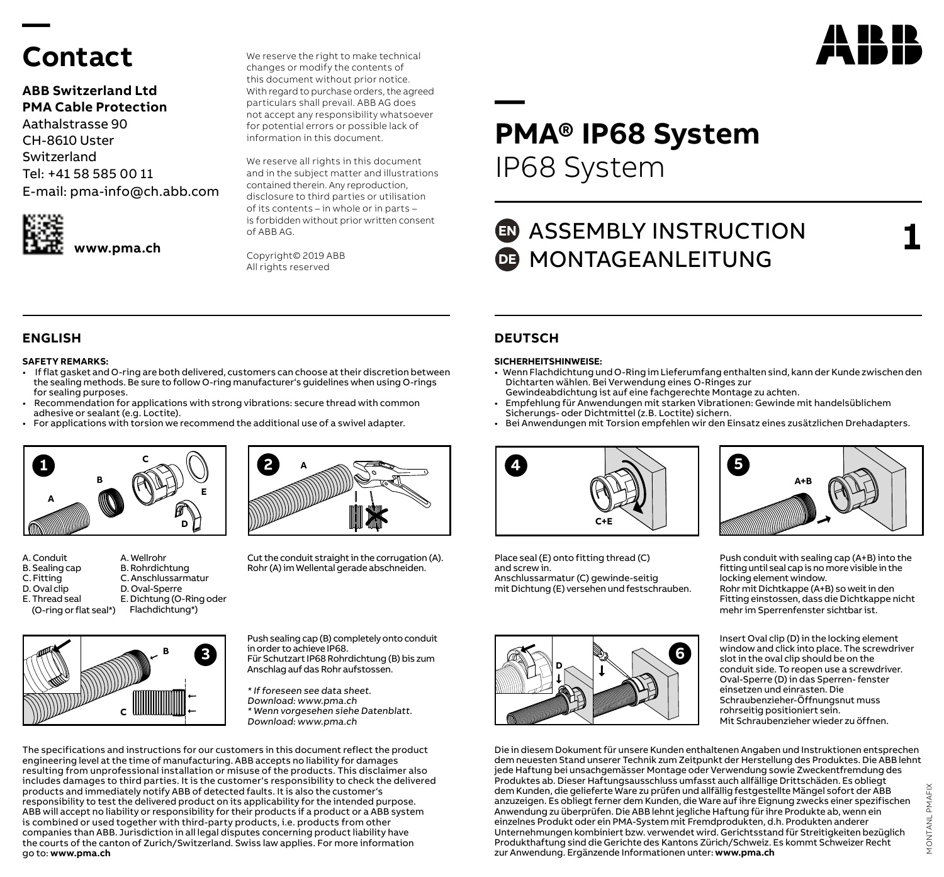# **Contact**

**—** 

### **ABB Switzerland Ltd PMA Cable Protection**

Aathalstrasse 90 CH-8610 Uster Switzerland Tel: +41 58 585 00 11 E-mail: pma-info@ch.abb.com



**www.pma.ch**

We reserve the right to make technical changes or modify the contents of this document without prior notice. With regard to purchase orders, the agreed particulars shall prevail. ABB AG does not accept any responsibility whatsoever for potential errors or possible lack of information in this document.

We reserve all rights in this document and in the subject matter and illustrations contained therein. Any reproduction, disclosure to third parties or utilisation of its contents – in whole or in parts – is forbidden without prior written consent of ABB AG.

Copyright© 2019 ABB All rights reserved



**1**

# **— PMA® IP68 System**  IP68 System

## **ED** ASSEMBLY INSTRUCTION **DE** MONTAGEANLEITUNG

### **SAFETY REMARKS:**

- If flat gasket and O-ring are both delivered, customers can choose at their discretion between the sealing methods. Be sure to follow O-ring manufacturer's guidelines when using O-rings for sealing purposes.
- Recommendation for applications with strong vibrations: secure thread with common adhesive or sealant (e.g. Loctite).
- For applications with torsion we recommend the additional use of a swivel adapter.







Cut the conduit straight in the corrugation (A). Rohr (A) im Wellental gerade abschneiden.



Push sealing cap (B) completely onto conduit in order to achieve IP68. Für Schutzart IP68 Rohrdichtung (B) bis zum Anschlag auf das Rohr aufstossen.

\* If foreseen see data sheet. Download: www.pma.ch \* Wenn vorgesehen siehe Datenblatt. Download: www.pma.ch

The specifications and instructions for our customers in this document reflect the product engineering level at the time of manufacturing. ABB accepts no liability for damages resulting from unprofessional installation or misuse of the products. This disclaimer also includes damages to third parties. It is the customer's responsibility to check the delivered products and immediately notify ABB of detected faults. It is also the customer's responsibility to test the delivered product on its applicability for the intended purpose. ABB will accept no liability or responsibility for their products if a product or a ABB system is combined or used together with third-party products, i.e. products from other companies than ABB. Jurisdiction in all legal disputes concerning product liability have the courts of the canton of Zurich/Switzerland. Swiss law applies. For more information go to: **www.pma.ch**

### **ENGLISH DEUTSCH**

#### **SICHERHEITSHINWEISE:**

- Wenn Flachdichtung und O-Ring im Lieferumfang enthalten sind, kann der Kunde zwischen den Dichtarten wählen. Bei Verwendung eines O-Ringes zur
- Gewindeabdichtung ist auf eine fachgerechte Montage zu achten.
- Empfehlung für Anwendungen mit starken Vibrationen: Gewinde mit handelsüblichem Sicherungs- oder Dichtmittel (z.B. Loctite) sichern.
- Bei Anwendungen mit Torsion empfehlen wir den Einsatz eines zusätzlichen Drehadapters.



Place seal (E) onto fitting thread (C) and screw in. Anschlussarmatur (C) gewinde-seitig mit Dichtung (E) versehen und festschrauben.





Push conduit with sealing cap (A+B) into the fitting until seal cap is no more visible in the locking element window. Rohr mit Dichtkappe (A+B) so weit in den Fitting einstossen, dass die Dichtkappe nicht mehr im Sperrenfenster sichtbar ist.

Insert Oval clip (D) in the locking element window and click into place. The screwdriver slot in the oval clip should be on the conduit side. To reopen use a screwdriver. Oval-Sperre (D) in das Sperren- fenster einsetzen und einrasten. Die Schraubenzieher-Öffnungsnut muss rohrseitig positioniert sein. Mit Schraubenzieher wieder zu öffnen.

Die in diesem Dokument für unsere Kunden enthaltenen Angaben und Instruktionen entsprechen dem neuesten Stand unserer Technik zum Zeitpunkt der Herstellung des Produktes. Die ABB lehnt jede Haftung bei unsachgemässer Montage oder Verwendung sowie Zweckentfremdung des Produktes ab. Dieser Haftungsausschluss umfasst auch allfällige Drittschäden. Es obliegt dem Kunden, die gelieferte Ware zu prüfen und allfällig festgestellte Mängel sofort der ABB anzuzeigen. Es obliegt ferner dem Kunden, die Ware auf ihre Eignung zwecks einer spezifischen Anwendung zu überprüfen. Die ABB lehnt jegliche Haftung für ihre Produkte ab, wenn ein einzelnes Produkt oder ein PMA-System mit Fremdprodukten, d.h. Produkten anderer Unternehmungen kombiniert bzw. verwendet wird. Gerichtsstand für Streitigkeiten bezüglich Produkthaftung sind die Gerichte des Kantons Zürich/Schweiz. Es kommt Schweizer Recht zur Anwendung. Ergänzende Informationen unter: **www.pma.ch**